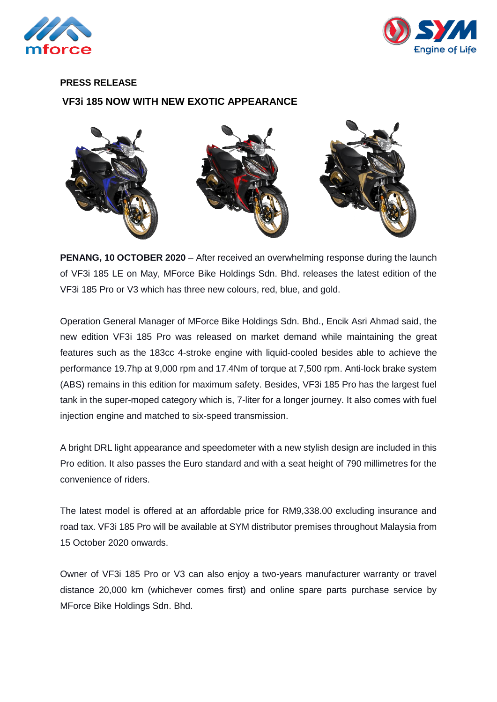



## **PRESS RELEASE VF3i 185 NOW WITH NEW EXOTIC APPEARANCE**



**PENANG, 10 OCTOBER 2020** – After received an overwhelming response during the launch of VF3i 185 LE on May, MForce Bike Holdings Sdn. Bhd. releases the latest edition of the VF3i 185 Pro or V3 which has three new colours, red, blue, and gold.

Operation General Manager of MForce Bike Holdings Sdn. Bhd., Encik Asri Ahmad said, the new edition VF3i 185 Pro was released on market demand while maintaining the great features such as the 183cc 4-stroke engine with liquid-cooled besides able to achieve the performance 19.7hp at 9,000 rpm and 17.4Nm of torque at 7,500 rpm. Anti-lock brake system (ABS) remains in this edition for maximum safety. Besides, VF3i 185 Pro has the largest fuel tank in the super-moped category which is, 7-liter for a longer journey. It also comes with fuel injection engine and matched to six-speed transmission.

A bright DRL light appearance and speedometer with a new stylish design are included in this Pro edition. It also passes the Euro standard and with a seat height of 790 millimetres for the convenience of riders.

The latest model is offered at an affordable price for RM9,338.00 excluding insurance and road tax. VF3i 185 Pro will be available at SYM distributor premises throughout Malaysia from 15 October 2020 onwards.

Owner of VF3i 185 Pro or V3 can also enjoy a two-years manufacturer warranty or travel distance 20,000 km (whichever comes first) and online spare parts purchase service by MForce Bike Holdings Sdn. Bhd.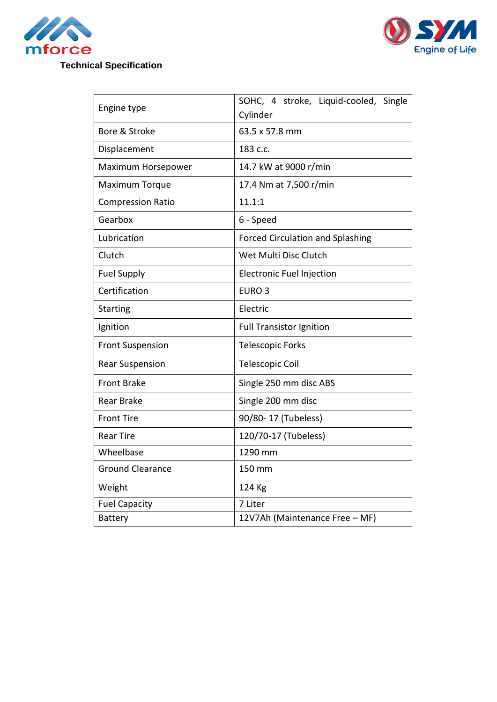



## **Technical Specification**

| Engine type              | SOHC, 4 stroke, Liquid-cooled, Single   |
|--------------------------|-----------------------------------------|
| Bore & Stroke            | Cylinder<br>63.5 x 57.8 mm              |
|                          |                                         |
| Displacement             | 183 c.c.                                |
| Maximum Horsepower       | 14.7 kW at 9000 r/min                   |
| Maximum Torque           | 17.4 Nm at 7,500 r/min                  |
| <b>Compression Ratio</b> | 11.1:1                                  |
| Gearbox                  | 6 - Speed                               |
| Lubrication              | <b>Forced Circulation and Splashing</b> |
| Clutch                   | Wet Multi Disc Clutch                   |
| <b>Fuel Supply</b>       | <b>Electronic Fuel Injection</b>        |
| Certification            | EURO <sub>3</sub>                       |
| <b>Starting</b>          | Electric                                |
| Ignition                 | <b>Full Transistor Ignition</b>         |
| <b>Front Suspension</b>  | <b>Telescopic Forks</b>                 |
| <b>Rear Suspension</b>   | <b>Telescopic Coil</b>                  |
| <b>Front Brake</b>       | Single 250 mm disc ABS                  |
| <b>Rear Brake</b>        | Single 200 mm disc                      |
| <b>Front Tire</b>        | 90/80-17 (Tubeless)                     |
| <b>Rear Tire</b>         | 120/70-17 (Tubeless)                    |
| Wheelbase                | 1290 mm                                 |
| <b>Ground Clearance</b>  | 150 mm                                  |
| Weight                   | 124 Kg                                  |
| <b>Fuel Capacity</b>     | 7 Liter                                 |
| <b>Battery</b>           | 12V7Ah (Maintenance Free - MF)          |